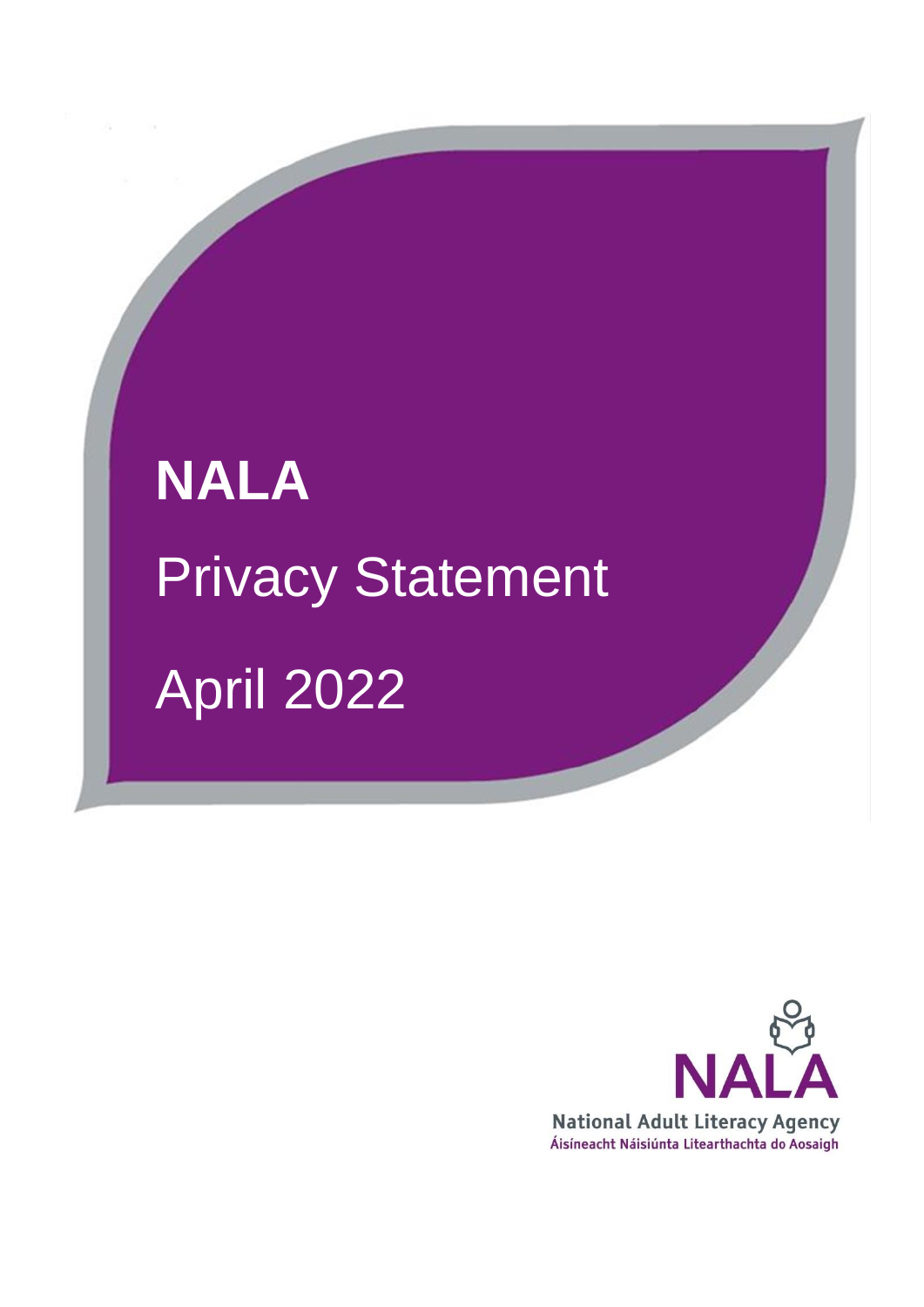# **NALA**  Privacy Statement April 2022

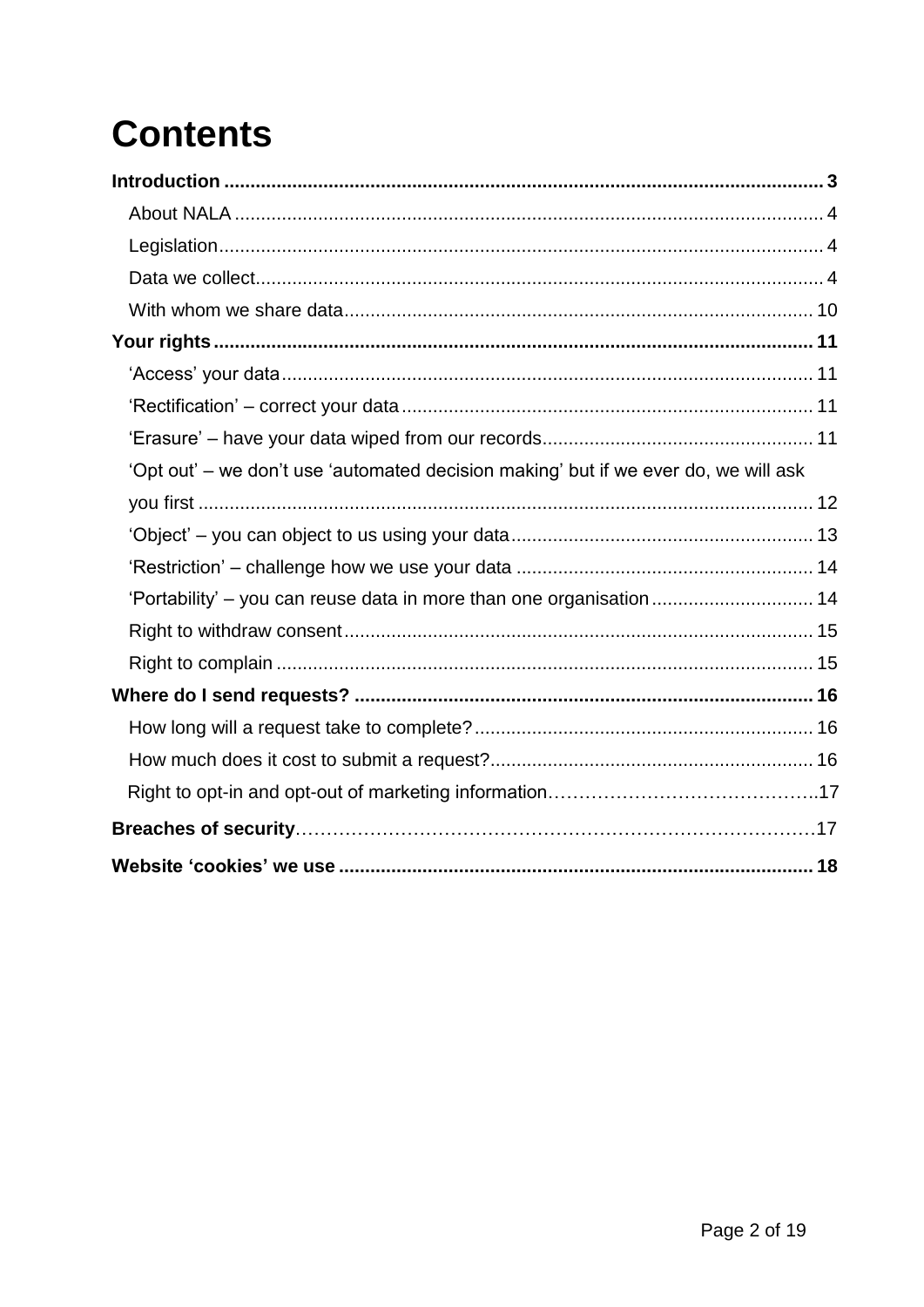# **Contents**

| 'Opt out' – we don't use 'automated decision making' but if we ever do, we will ask |  |
|-------------------------------------------------------------------------------------|--|
|                                                                                     |  |
|                                                                                     |  |
|                                                                                     |  |
| 'Portability' - you can reuse data in more than one organisation 14                 |  |
|                                                                                     |  |
|                                                                                     |  |
|                                                                                     |  |
|                                                                                     |  |
|                                                                                     |  |
|                                                                                     |  |
|                                                                                     |  |
|                                                                                     |  |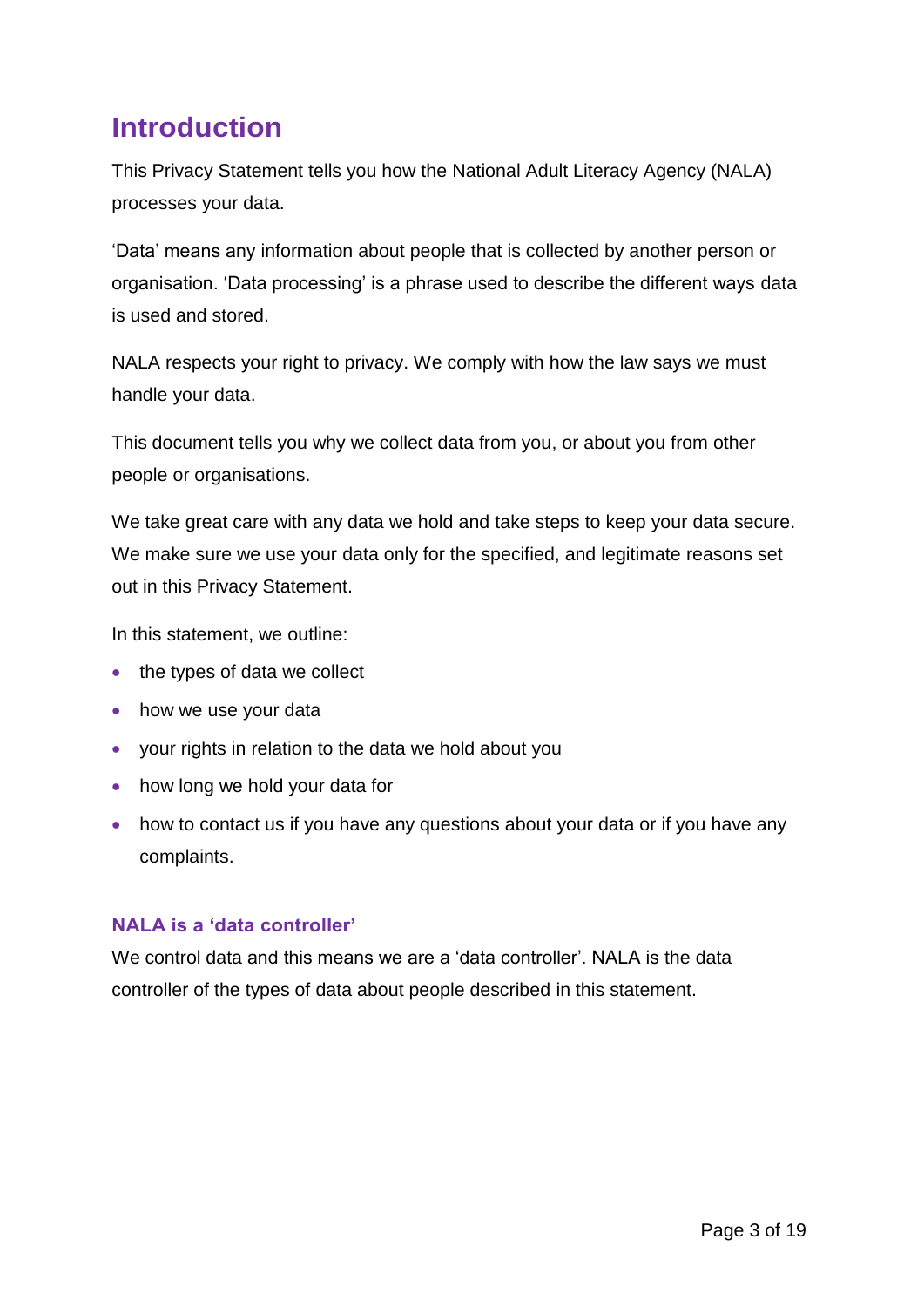# <span id="page-2-0"></span>**Introduction**

This Privacy Statement tells you how the National Adult Literacy Agency (NALA) processes your data.

'Data' means any information about people that is collected by another person or organisation. 'Data processing' is a phrase used to describe the different ways data is used and stored.

NALA respects your right to privacy. We comply with how the law says we must handle your data.

This document tells you why we collect data from you, or about you from other people or organisations.

We take great care with any data we hold and take steps to keep your data secure. We make sure we use your data only for the specified, and legitimate reasons set out in this Privacy Statement.

In this statement, we outline:

- $\bullet$  the types of data we collect
- how we use your data
- your rights in relation to the data we hold about you
- how long we hold your data for
- how to contact us if you have any questions about your data or if you have any complaints.

#### **NALA is a 'data controller'**

We control data and this means we are a 'data controller'. NALA is the data controller of the types of data about people described in this statement.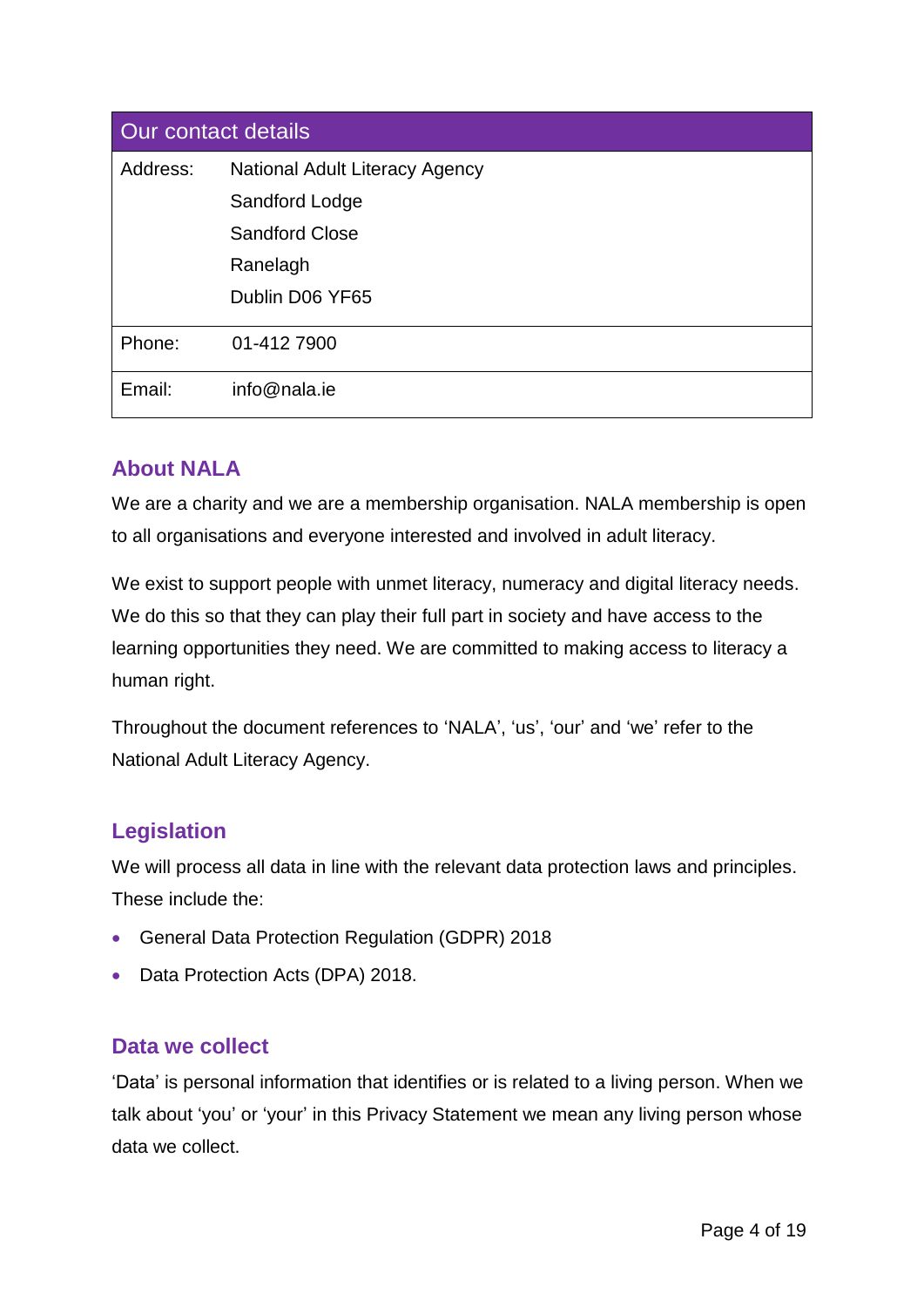| Our contact details |                                       |  |
|---------------------|---------------------------------------|--|
| Address:            | <b>National Adult Literacy Agency</b> |  |
|                     | Sandford Lodge                        |  |
|                     | <b>Sandford Close</b>                 |  |
|                     | Ranelagh                              |  |
|                     | Dublin D06 YF65                       |  |
| Phone:              | 01-412 7900                           |  |
| Email:              | info@nala.ie                          |  |

#### <span id="page-3-0"></span>**About NALA**

We are a charity and we are a membership organisation. NALA membership is open to all organisations and everyone interested and involved in adult literacy.

We exist to support people with unmet literacy, numeracy and digital literacy needs. We do this so that they can play their full part in society and have access to the learning opportunities they need. We are committed to making access to literacy a human right.

Throughout the document references to 'NALA', 'us', 'our' and 'we' refer to the National Adult Literacy Agency.

#### <span id="page-3-1"></span>**Legislation**

We will process all data in line with the relevant data protection laws and principles. These include the:

- General Data Protection Regulation (GDPR) 2018
- Data Protection Acts (DPA) 2018.

#### <span id="page-3-2"></span>**Data we collect**

'Data' is personal information that identifies or is related to a living person. When we talk about 'you' or 'your' in this Privacy Statement we mean any living person whose data we collect.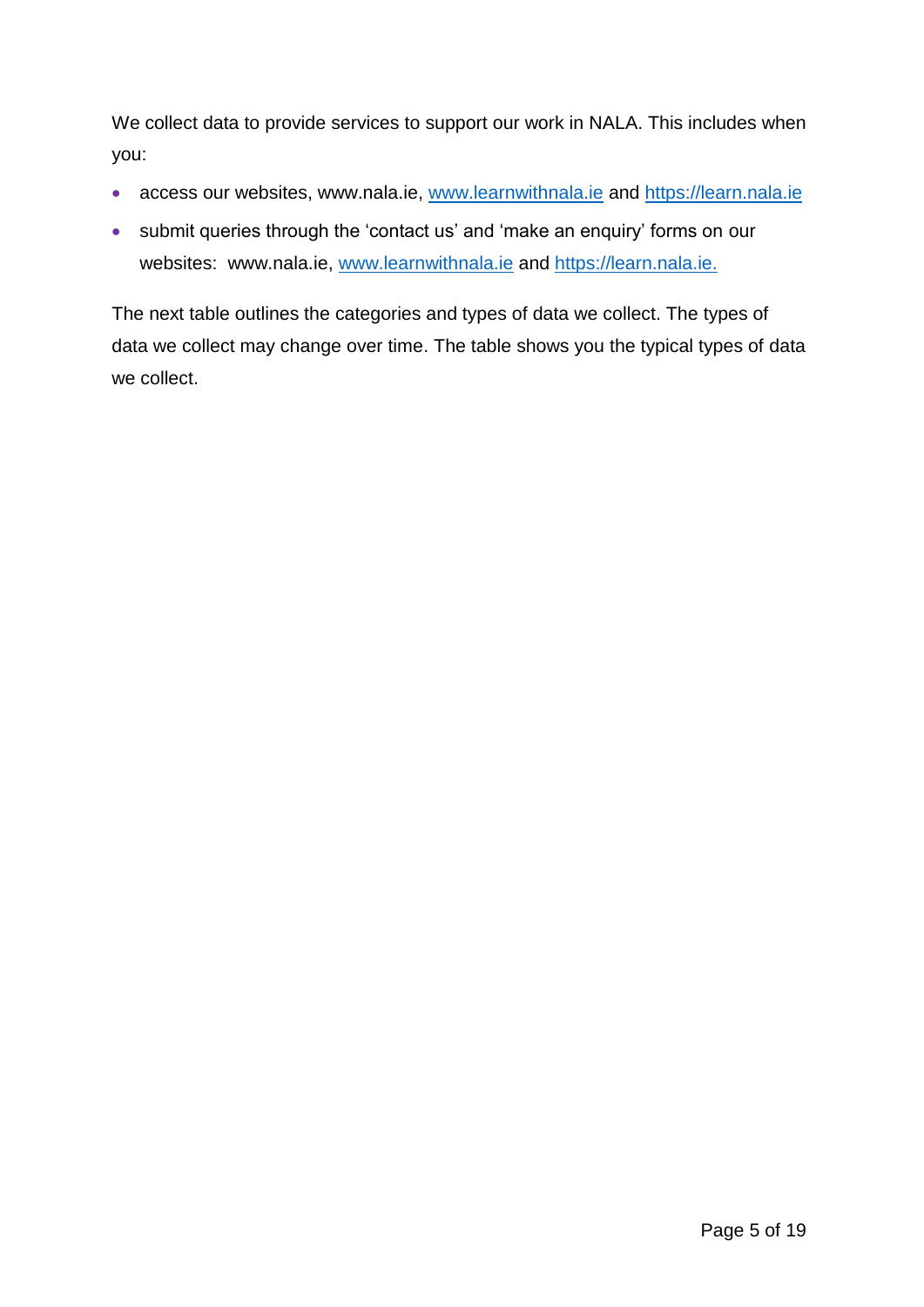We collect data to provide services to support our work in NALA. This includes when you:

- access our websites, [www.nala.ie,](http://www.nala.ie/) [www.learnwithnala.ie](http://www.learnwithnala.ie/) and [https://learn.nala.ie](https://learn.nala.ie/)
- submit queries through the 'contact us' and 'make an enquiry' forms on our websites: [www.nala.ie,](http://www.nala.ie/) [www.learnwithnala.ie](http://www.learnwithnala.ie/) and [https://learn.nala.ie.](https://learn.nala.ie/)

The next table outlines the categories and types of data we collect. The types of data we collect may change over time. The table shows you the typical types of data we collect.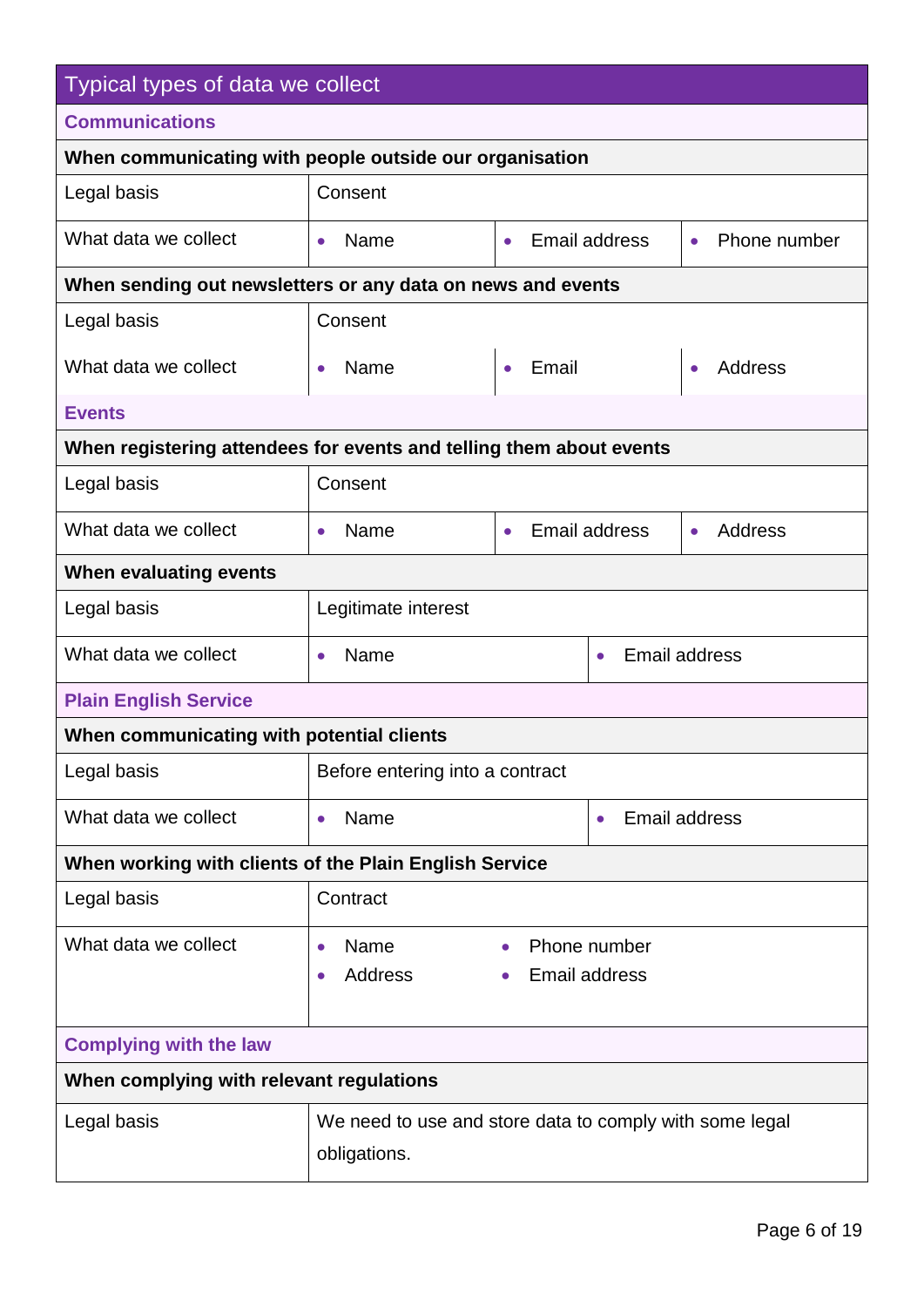| Typical types of data we collect                                    |                                                                         |                    |                               |                             |
|---------------------------------------------------------------------|-------------------------------------------------------------------------|--------------------|-------------------------------|-----------------------------|
| <b>Communications</b>                                               |                                                                         |                    |                               |                             |
| When communicating with people outside our organisation             |                                                                         |                    |                               |                             |
| Legal basis                                                         | Consent                                                                 |                    |                               |                             |
| What data we collect                                                | Name<br>$\bullet$                                                       | $\bullet$          | Email address                 | Phone number<br>$\bullet$   |
| When sending out newsletters or any data on news and events         |                                                                         |                    |                               |                             |
| Legal basis                                                         | Consent                                                                 |                    |                               |                             |
| What data we collect                                                | Name<br>$\bullet$                                                       | Email<br>$\bullet$ |                               | <b>Address</b><br>$\bullet$ |
| <b>Events</b>                                                       |                                                                         |                    |                               |                             |
| When registering attendees for events and telling them about events |                                                                         |                    |                               |                             |
| Legal basis                                                         | Consent                                                                 |                    |                               |                             |
| What data we collect                                                | Name<br>$\bullet$                                                       | $\bullet$          | <b>Email address</b>          | <b>Address</b><br>$\bullet$ |
| When evaluating events                                              |                                                                         |                    |                               |                             |
| Legal basis                                                         | Legitimate interest                                                     |                    |                               |                             |
| What data we collect                                                | Name<br>$\bullet$                                                       |                    | $\bullet$                     | <b>Email address</b>        |
| <b>Plain English Service</b>                                        |                                                                         |                    |                               |                             |
| When communicating with potential clients                           |                                                                         |                    |                               |                             |
| Legal basis                                                         | Before entering into a contract                                         |                    |                               |                             |
| What data we collect                                                | Name<br>$\bullet$                                                       |                    | $\bullet$                     | <b>Email address</b>        |
| When working with clients of the Plain English Service              |                                                                         |                    |                               |                             |
| Legal basis                                                         | Contract                                                                |                    |                               |                             |
| What data we collect                                                | Name<br>$\bullet$<br><b>Address</b><br>$\bullet$                        |                    | Phone number<br>Email address |                             |
| <b>Complying with the law</b>                                       |                                                                         |                    |                               |                             |
| When complying with relevant regulations                            |                                                                         |                    |                               |                             |
| Legal basis                                                         | We need to use and store data to comply with some legal<br>obligations. |                    |                               |                             |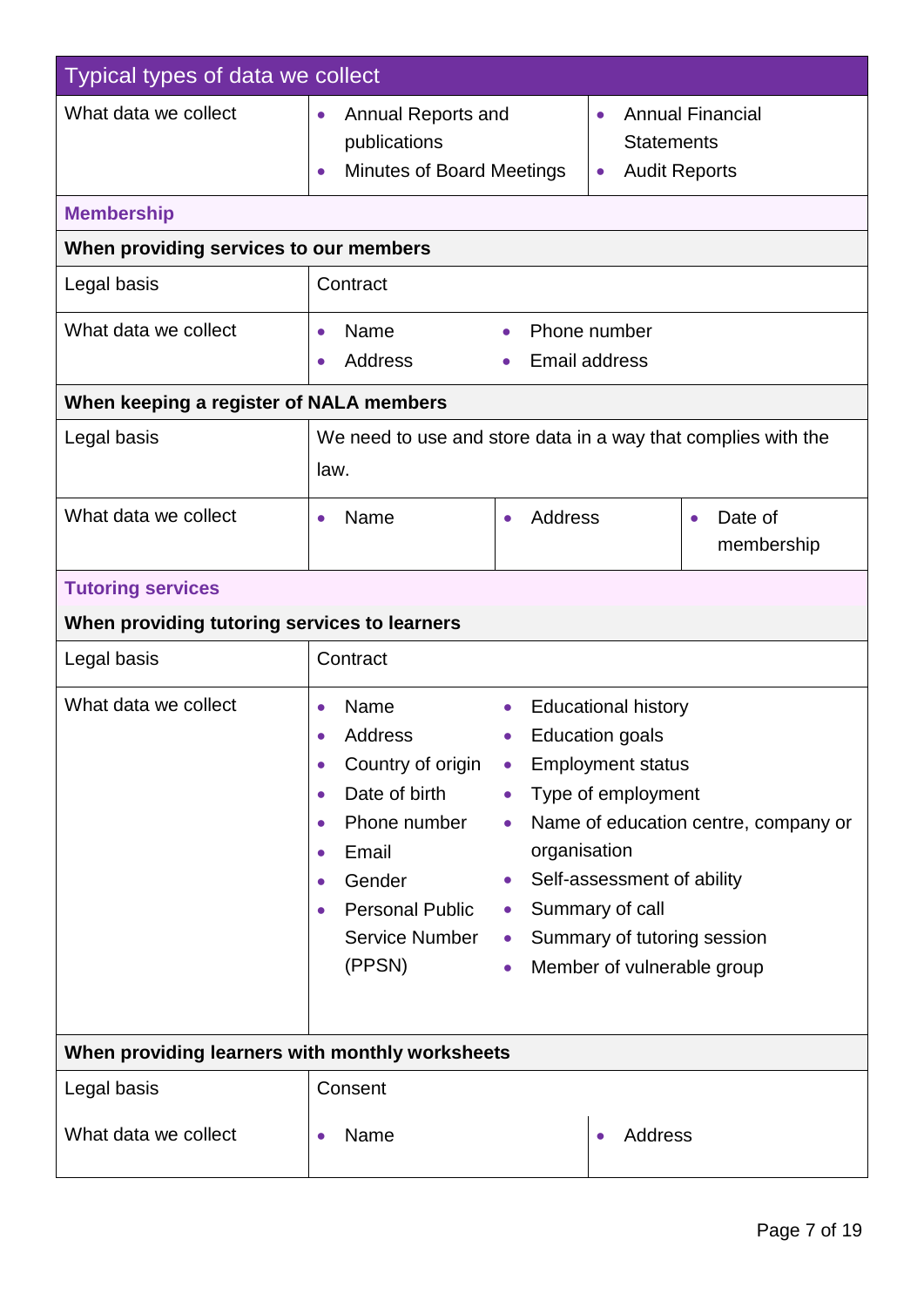| Typical types of data we collect                |                                                                                                                                                                                                                                                                                                                                                                                                                                                                                                                                                                                             |                       |  |
|-------------------------------------------------|---------------------------------------------------------------------------------------------------------------------------------------------------------------------------------------------------------------------------------------------------------------------------------------------------------------------------------------------------------------------------------------------------------------------------------------------------------------------------------------------------------------------------------------------------------------------------------------------|-----------------------|--|
| What data we collect                            | <b>Annual Financial</b><br>Annual Reports and<br>$\bullet$<br>$\bullet$<br>publications<br><b>Statements</b><br><b>Minutes of Board Meetings</b><br><b>Audit Reports</b><br>$\bullet$<br>$\bullet$                                                                                                                                                                                                                                                                                                                                                                                          |                       |  |
| <b>Membership</b>                               |                                                                                                                                                                                                                                                                                                                                                                                                                                                                                                                                                                                             |                       |  |
| When providing services to our members          |                                                                                                                                                                                                                                                                                                                                                                                                                                                                                                                                                                                             |                       |  |
| Legal basis                                     | Contract                                                                                                                                                                                                                                                                                                                                                                                                                                                                                                                                                                                    |                       |  |
| What data we collect                            | Phone number<br>Name<br>$\bullet$<br>$\bullet$<br><b>Email address</b><br><b>Address</b>                                                                                                                                                                                                                                                                                                                                                                                                                                                                                                    |                       |  |
| When keeping a register of NALA members         |                                                                                                                                                                                                                                                                                                                                                                                                                                                                                                                                                                                             |                       |  |
| Legal basis                                     | We need to use and store data in a way that complies with the<br>law.                                                                                                                                                                                                                                                                                                                                                                                                                                                                                                                       |                       |  |
| What data we collect                            | Address<br>Name<br>$\bullet$<br>$\bullet$<br>$\bullet$                                                                                                                                                                                                                                                                                                                                                                                                                                                                                                                                      | Date of<br>membership |  |
| <b>Tutoring services</b>                        |                                                                                                                                                                                                                                                                                                                                                                                                                                                                                                                                                                                             |                       |  |
| When providing tutoring services to learners    |                                                                                                                                                                                                                                                                                                                                                                                                                                                                                                                                                                                             |                       |  |
| Legal basis                                     | Contract                                                                                                                                                                                                                                                                                                                                                                                                                                                                                                                                                                                    |                       |  |
| What data we collect                            | Name<br><b>Educational history</b><br>$\bullet$<br><b>Address</b><br><b>Education goals</b><br>Country of origin<br><b>Employment status</b><br>$\bullet$<br>$\bullet$<br>Date of birth<br>Type of employment<br>$\bullet$<br>Phone number<br>Name of education centre, company or<br>$\bullet$<br>organisation<br>Email<br>$\bullet$<br>Self-assessment of ability<br>Gender<br>$\bullet$<br>$\bullet$<br>Summary of call<br><b>Personal Public</b><br>$\bullet$<br>$\bullet$<br><b>Service Number</b><br>Summary of tutoring session<br>$\bullet$<br>(PPSN)<br>Member of vulnerable group |                       |  |
| When providing learners with monthly worksheets |                                                                                                                                                                                                                                                                                                                                                                                                                                                                                                                                                                                             |                       |  |
| Legal basis                                     | Consent                                                                                                                                                                                                                                                                                                                                                                                                                                                                                                                                                                                     |                       |  |
| What data we collect                            | Name<br>Address<br>$\bullet$                                                                                                                                                                                                                                                                                                                                                                                                                                                                                                                                                                |                       |  |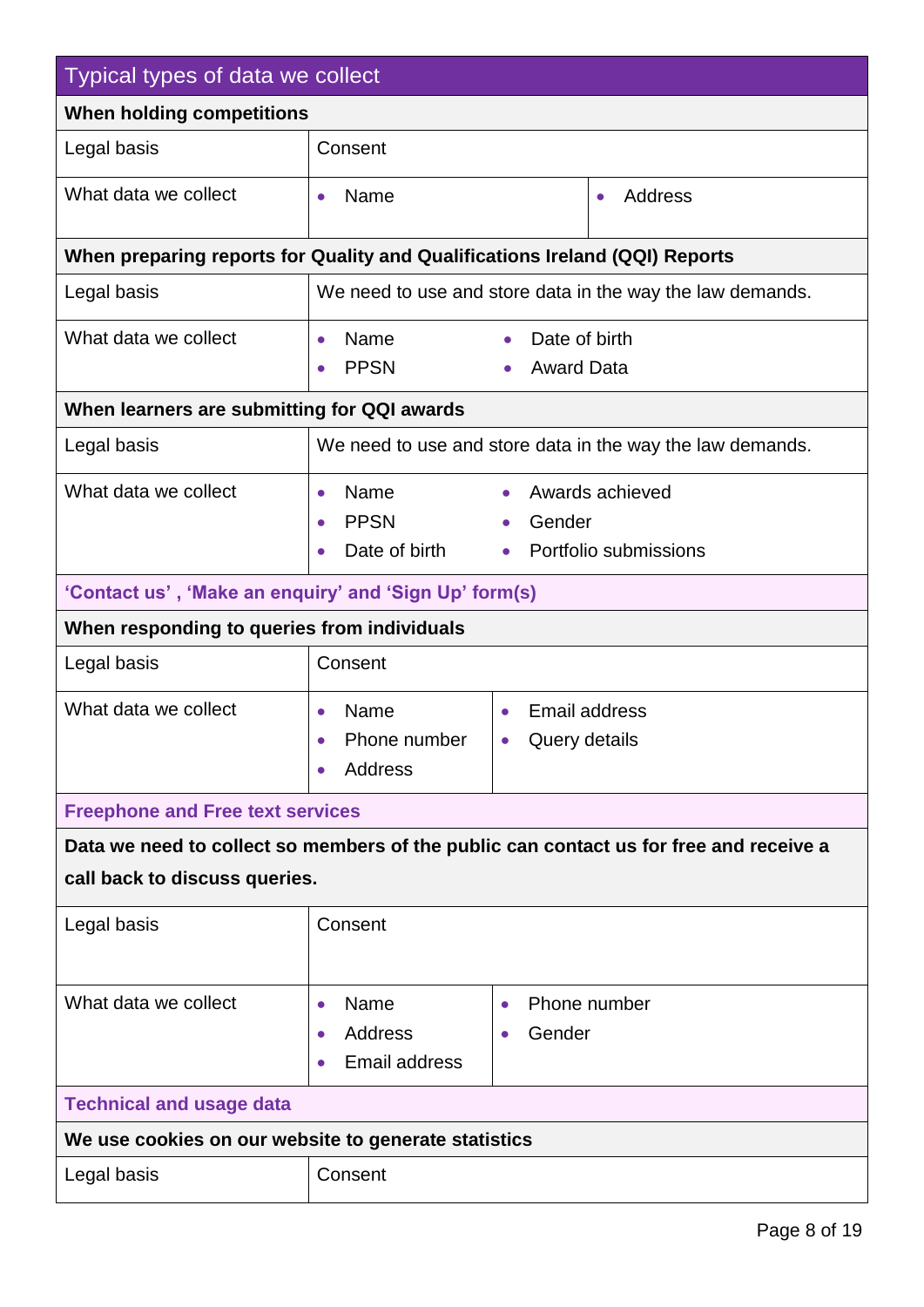| Typical types of data we collect                      |                                                                             |                                                              |                                                                                        |
|-------------------------------------------------------|-----------------------------------------------------------------------------|--------------------------------------------------------------|----------------------------------------------------------------------------------------|
| When holding competitions                             |                                                                             |                                                              |                                                                                        |
| Legal basis                                           | Consent                                                                     |                                                              |                                                                                        |
| What data we collect                                  | Name<br>Address<br>$\bullet$<br>$\bullet$                                   |                                                              |                                                                                        |
|                                                       | When preparing reports for Quality and Qualifications Ireland (QQI) Reports |                                                              |                                                                                        |
| Legal basis                                           |                                                                             |                                                              | We need to use and store data in the way the law demands.                              |
| What data we collect                                  | Name<br>$\bullet$<br><b>PPSN</b><br>$\bullet$                               | Date of birth<br>$\bullet$<br><b>Award Data</b><br>$\bullet$ |                                                                                        |
| When learners are submitting for QQI awards           |                                                                             |                                                              |                                                                                        |
| Legal basis                                           |                                                                             |                                                              | We need to use and store data in the way the law demands.                              |
| What data we collect                                  | Name<br>$\bullet$<br><b>PPSN</b><br>$\bullet$<br>Date of birth              | $\bullet$<br>Gender<br>$\bullet$<br>$\bullet$                | Awards achieved<br>Portfolio submissions                                               |
| 'Contact us', 'Make an enquiry' and 'Sign Up' form(s) |                                                                             |                                                              |                                                                                        |
| When responding to queries from individuals           |                                                                             |                                                              |                                                                                        |
| Legal basis                                           | Consent                                                                     |                                                              |                                                                                        |
| What data we collect                                  | Name<br>$\bullet$<br>Phone number<br>$\bullet$<br><b>Address</b>            | $\bullet$<br>Query details<br>$\bullet$                      | <b>Email address</b>                                                                   |
| <b>Freephone and Free text services</b>               |                                                                             |                                                              |                                                                                        |
|                                                       |                                                                             |                                                              | Data we need to collect so members of the public can contact us for free and receive a |
| call back to discuss queries.                         |                                                                             |                                                              |                                                                                        |
| Legal basis                                           | Consent                                                                     |                                                              |                                                                                        |
| What data we collect                                  | Name<br>$\bullet$<br><b>Address</b><br><b>Email address</b>                 | $\bullet$<br>Gender                                          | Phone number                                                                           |
| <b>Technical and usage data</b>                       |                                                                             |                                                              |                                                                                        |
| We use cookies on our website to generate statistics  |                                                                             |                                                              |                                                                                        |
| Legal basis                                           | Consent                                                                     |                                                              |                                                                                        |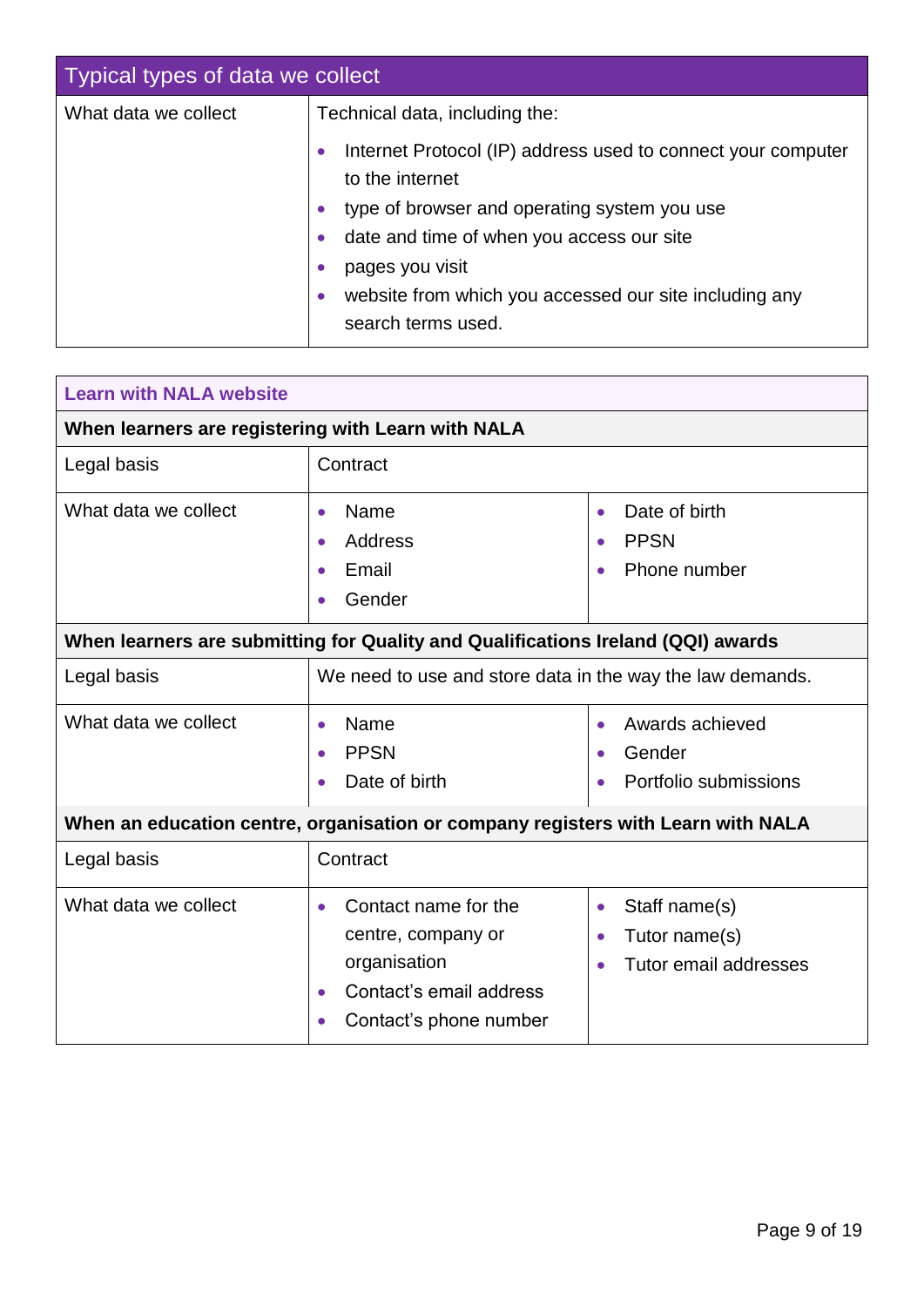| Typical types of data we collect |                                                                                                                                                                                                                                                       |
|----------------------------------|-------------------------------------------------------------------------------------------------------------------------------------------------------------------------------------------------------------------------------------------------------|
| What data we collect             | Technical data, including the:<br>Internet Protocol (IP) address used to connect your computer<br>$\bullet$<br>to the internet<br>type of browser and operating system you use<br>$\bullet$<br>date and time of when you access our site<br>$\bullet$ |
|                                  | pages you visit<br>$\bullet$<br>website from which you accessed our site including any<br>search terms used.                                                                                                                                          |

| <b>Learn with NALA website</b>                                                   |                                                                                                                                                        |                                                                                                |  |
|----------------------------------------------------------------------------------|--------------------------------------------------------------------------------------------------------------------------------------------------------|------------------------------------------------------------------------------------------------|--|
| When learners are registering with Learn with NALA                               |                                                                                                                                                        |                                                                                                |  |
| Legal basis                                                                      | Contract                                                                                                                                               |                                                                                                |  |
| What data we collect                                                             | Name<br>$\bullet$<br>Address<br>$\bullet$<br>Email<br>$\bullet$<br>Gender                                                                              | Date of birth<br>$\bullet$<br><b>PPSN</b><br>Phone number                                      |  |
| When learners are submitting for Quality and Qualifications Ireland (QQI) awards |                                                                                                                                                        |                                                                                                |  |
| Legal basis                                                                      | We need to use and store data in the way the law demands.                                                                                              |                                                                                                |  |
| What data we collect                                                             | Name<br>$\bullet$<br><b>PPSN</b><br>Date of birth                                                                                                      | Awards achieved<br>$\bullet$<br>Gender<br>Portfolio submissions                                |  |
| When an education centre, organisation or company registers with Learn with NALA |                                                                                                                                                        |                                                                                                |  |
| Legal basis                                                                      | Contract                                                                                                                                               |                                                                                                |  |
| What data we collect                                                             | Contact name for the<br>$\bullet$<br>centre, company or<br>organisation<br>Contact's email address<br>$\bullet$<br>Contact's phone number<br>$\bullet$ | Staff name(s)<br>$\bullet$<br>Tutor name(s)<br>$\bullet$<br>Tutor email addresses<br>$\bullet$ |  |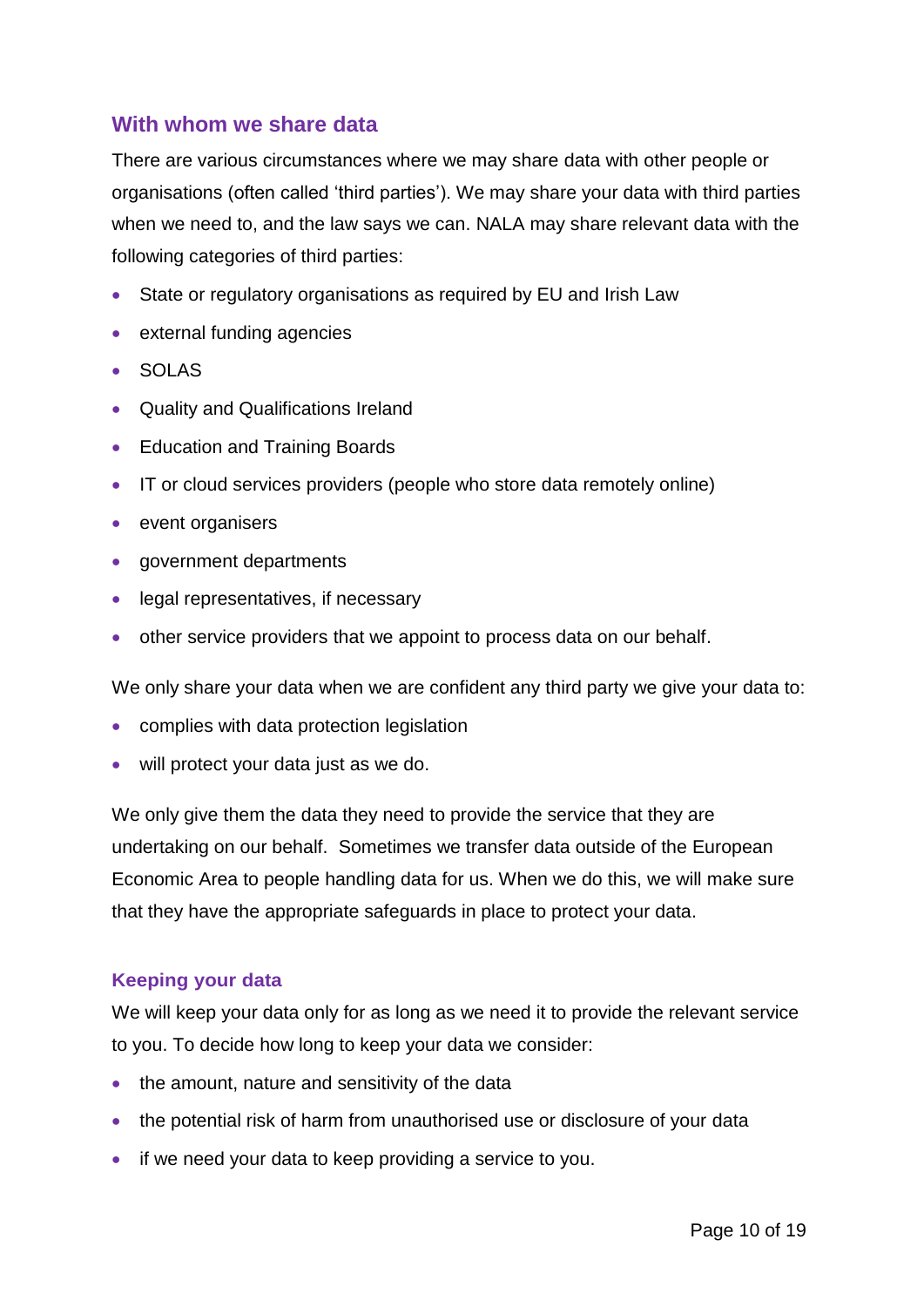#### <span id="page-9-0"></span>**With whom we share data**

There are various circumstances where we may share data with other people or organisations (often called 'third parties'). We may share your data with third parties when we need to, and the law says we can. NALA may share relevant data with the following categories of third parties:

- State or regulatory organisations as required by EU and Irish Law
- external funding agencies
- SOLAS
- Quality and Qualifications Ireland
- Education and Training Boards
- IT or cloud services providers (people who store data remotely online)
- event organisers
- government departments
- legal representatives, if necessary
- other service providers that we appoint to process data on our behalf.

We only share your data when we are confident any third party we give your data to:

- complies with data protection legislation
- will protect your data just as we do.

We only give them the data they need to provide the service that they are undertaking on our behalf. Sometimes we transfer data outside of the European Economic Area to people handling data for us. When we do this, we will make sure that they have the appropriate safeguards in place to protect your data.

#### **Keeping your data**

We will keep your data only for as long as we need it to provide the relevant service to you. To decide how long to keep your data we consider:

- the amount, nature and sensitivity of the data
- the potential risk of harm from unauthorised use or disclosure of your data
- if we need your data to keep providing a service to you.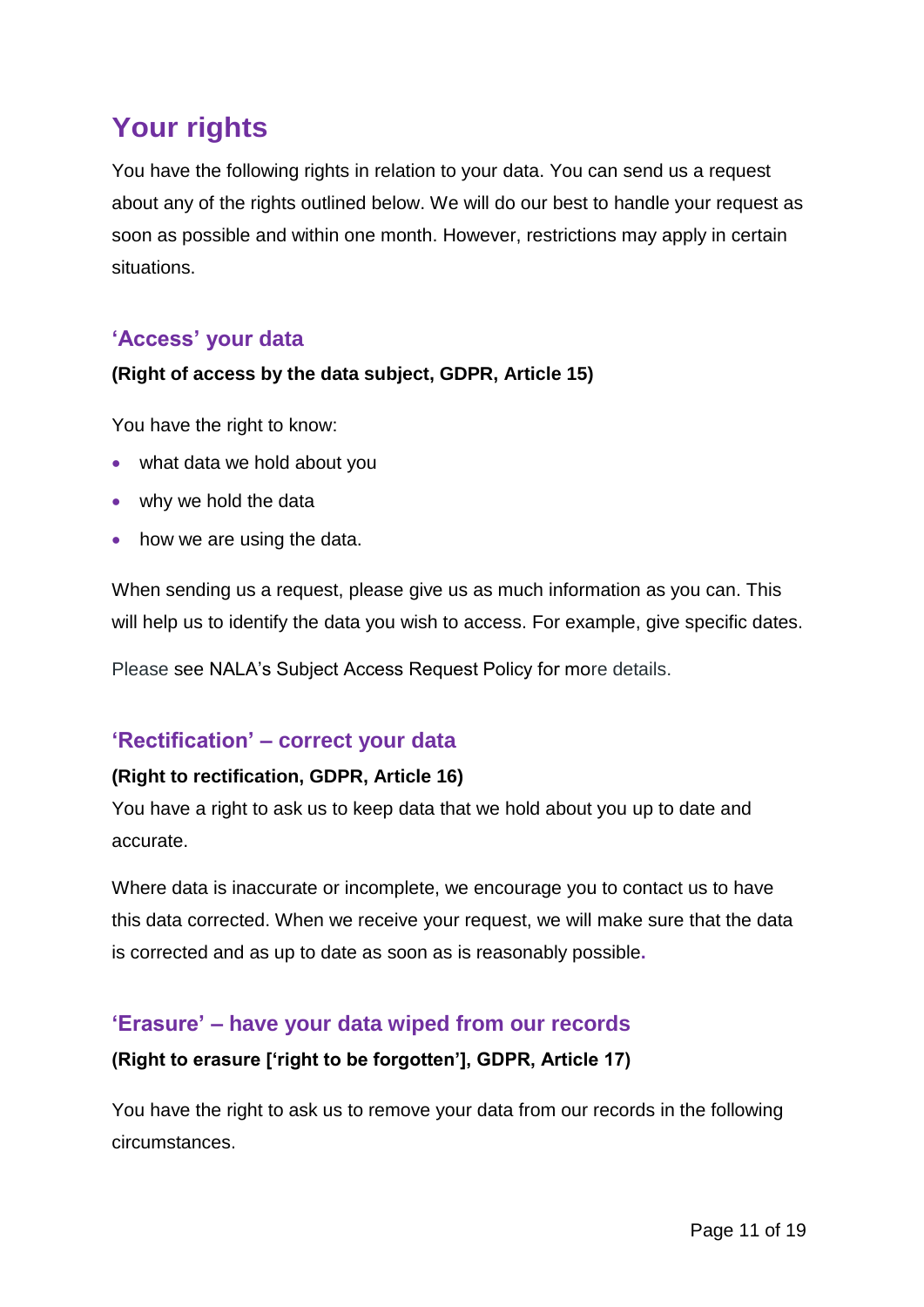# <span id="page-10-0"></span>**Your rights**

You have the following rights in relation to your data. You can send us a request about any of the rights outlined below. We will do our best to handle your request as soon as possible and within one month. However, restrictions may apply in certain situations.

#### <span id="page-10-1"></span>**'Access' your data**

#### **(Right of access by the data subject, GDPR, Article 15)**

You have the right to know:

- what data we hold about you
- why we hold the data
- how we are using the data.

When sending us a request, please give us as much information as you can. This will help us to identify the data you wish to access. For example, give specific dates.

Please see NALA's Subject Access Request Policy for more details.

#### <span id="page-10-2"></span>**'Rectification' – correct your data**

#### **(Right to rectification, GDPR, Article 16)**

You have a right to ask us to keep data that we hold about you up to date and accurate.

Where data is inaccurate or incomplete, we encourage you to contact us to have this data corrected. When we receive your request, we will make sure that the data is corrected and as up to date as soon as is reasonably possible**.** 

#### <span id="page-10-3"></span>**'Erasure' – have your data wiped from our records**

#### **(Right to erasure ['right to be forgotten'], GDPR, Article 17)**

You have the right to ask us to remove your data from our records in the following circumstances.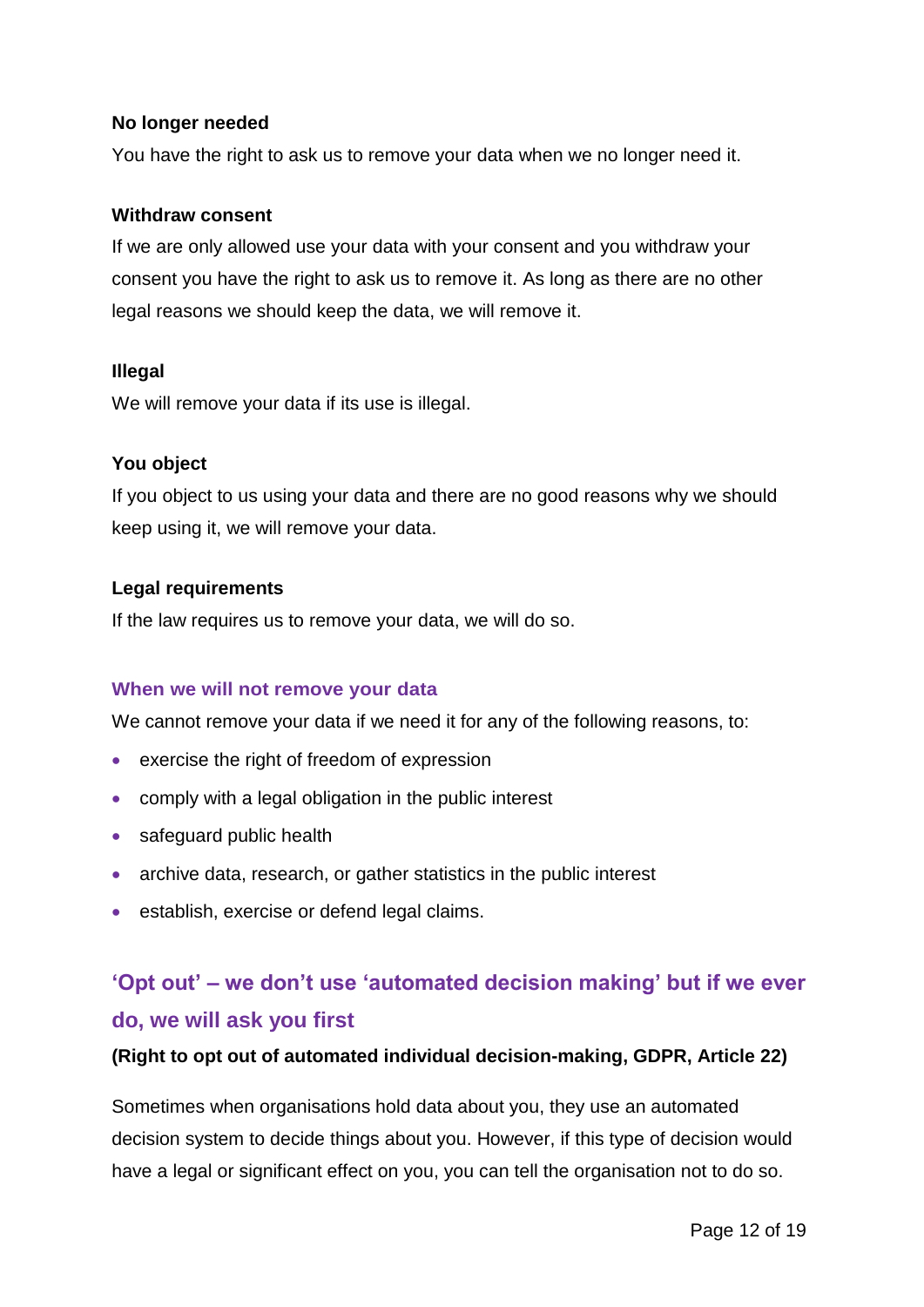#### **No longer needed**

You have the right to ask us to remove your data when we no longer need it.

#### **Withdraw consent**

If we are only allowed use your data with your consent and you withdraw your consent you have the right to ask us to remove it. As long as there are no other legal reasons we should keep the data, we will remove it.

#### **Illegal**

We will remove your data if its use is illegal.

#### **You object**

If you object to us using your data and there are no good reasons why we should keep using it, we will remove your data.

#### **Legal requirements**

If the law requires us to remove your data, we will do so.

#### **When we will not remove your data**

We cannot remove your data if we need it for any of the following reasons, to:

- exercise the right of freedom of expression
- comply with a legal obligation in the public interest
- safeguard public health
- archive data, research, or gather statistics in the public interest
- **establish, exercise or defend legal claims.**

# <span id="page-11-0"></span>**'Opt out' – we don't use 'automated decision making' but if we ever do, we will ask you first**

#### **(Right to opt out of automated individual decision-making, GDPR, Article 22)**

Sometimes when organisations hold data about you, they use an automated decision system to decide things about you. However, if this type of decision would have a legal or significant effect on you, you can tell the organisation not to do so.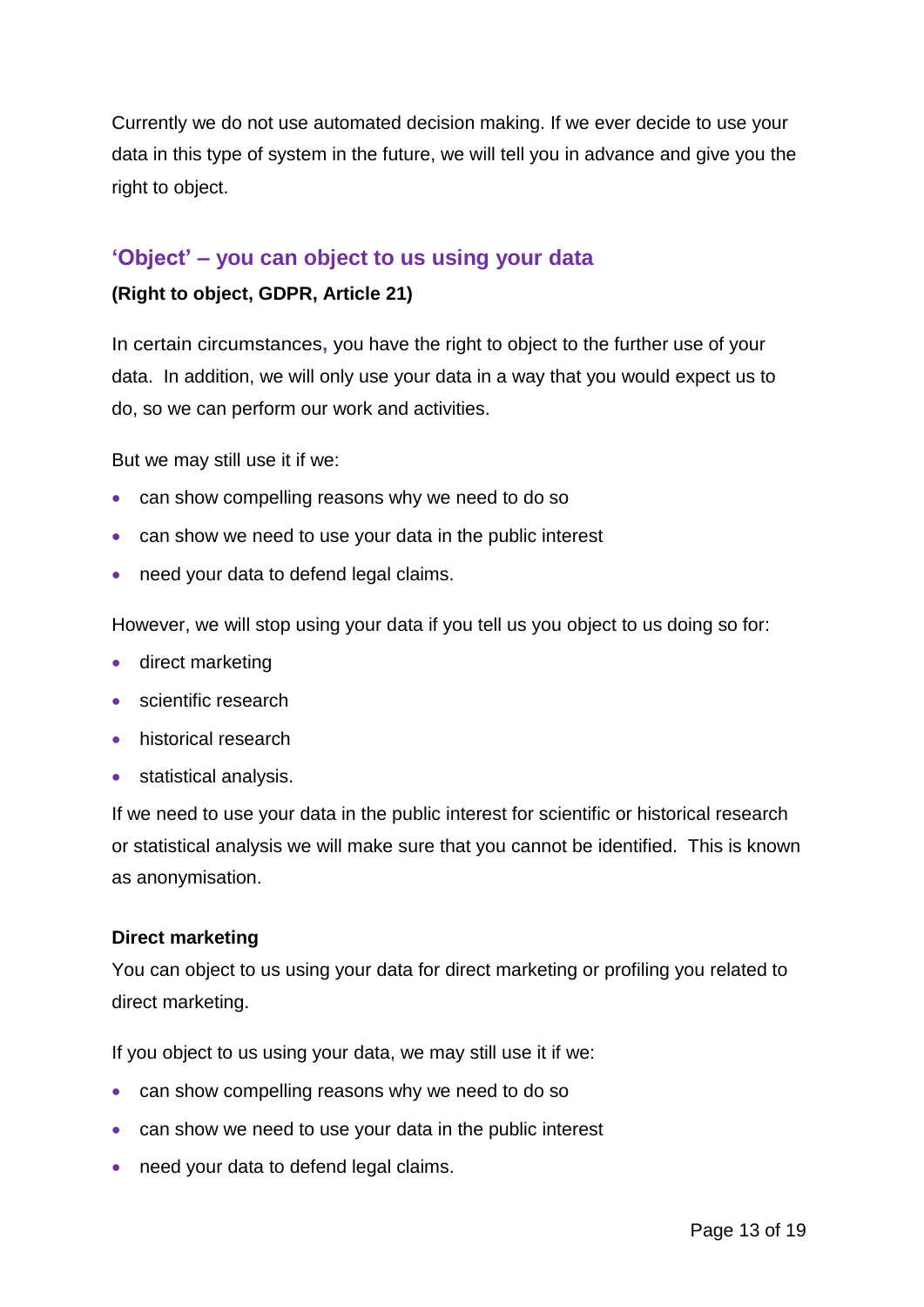Currently we do not use automated decision making. If we ever decide to use your data in this type of system in the future, we will tell you in advance and give you the right to object.

#### <span id="page-12-0"></span>**'Object' – you can object to us using your data**

#### **(Right to object, GDPR, Article 21)**

In certain circumstances**,** you have the right to object to the further use of your data. In addition, we will only use your data in a way that you would expect us to do, so we can perform our work and activities.

But we may still use it if we:

- can show compelling reasons why we need to do so
- can show we need to use your data in the public interest
- need your data to defend legal claims.

However, we will stop using your data if you tell us you object to us doing so for:

- direct marketing
- scientific research
- historical research
- statistical analysis.

If we need to use your data in the public interest for scientific or historical research or statistical analysis we will make sure that you cannot be identified. This is known as anonymisation.

#### **Direct marketing**

You can object to us using your data for direct marketing or profiling you related to direct marketing.

If you object to us using your data, we may still use it if we:

- can show compelling reasons why we need to do so
- can show we need to use your data in the public interest
- need your data to defend legal claims.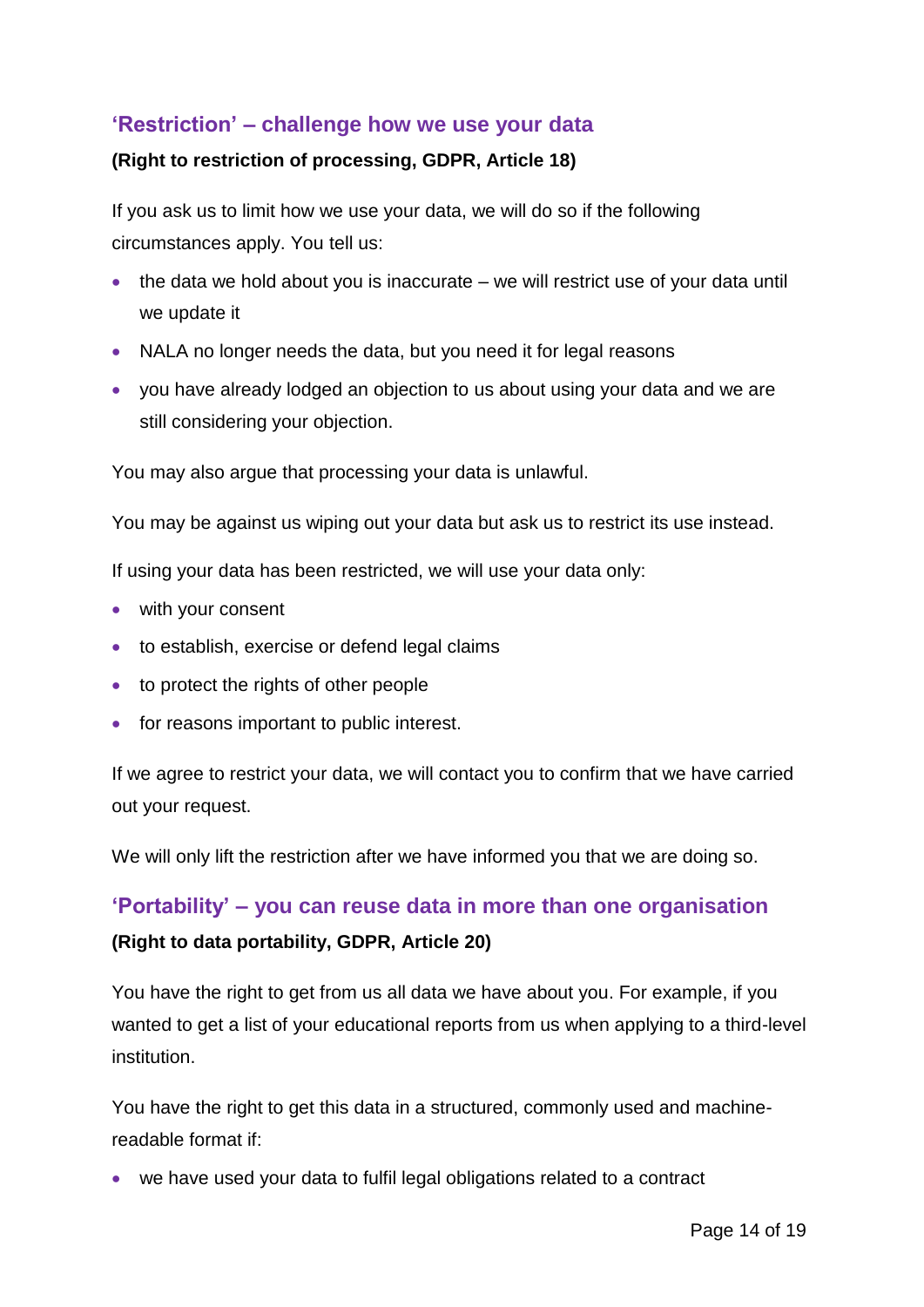#### <span id="page-13-0"></span>**'Restriction' – challenge how we use your data**

#### **(Right to restriction of processing, GDPR, Article 18)**

If you ask us to limit how we use your data, we will do so if the following circumstances apply. You tell us:

- $\bullet$  the data we hold about you is inaccurate we will restrict use of your data until we update it
- NALA no longer needs the data, but you need it for legal reasons
- you have already lodged an objection to us about using your data and we are still considering your objection.

You may also argue that processing your data is unlawful.

You may be against us wiping out your data but ask us to restrict its use instead.

If using your data has been restricted, we will use your data only:

- with your consent
- to establish, exercise or defend legal claims
- to protect the rights of other people
- for reasons important to public interest.

If we agree to restrict your data, we will contact you to confirm that we have carried out your request.

We will only lift the restriction after we have informed you that we are doing so.

#### <span id="page-13-1"></span>**'Portability' – you can reuse data in more than one organisation**

#### **(Right to data portability, GDPR, Article 20)**

You have the right to get from us all data we have about you. For example, if you wanted to get a list of your educational reports from us when applying to a third-level institution.

You have the right to get this data in a structured, commonly used and machinereadable format if:

we have used your data to fulfil legal obligations related to a contract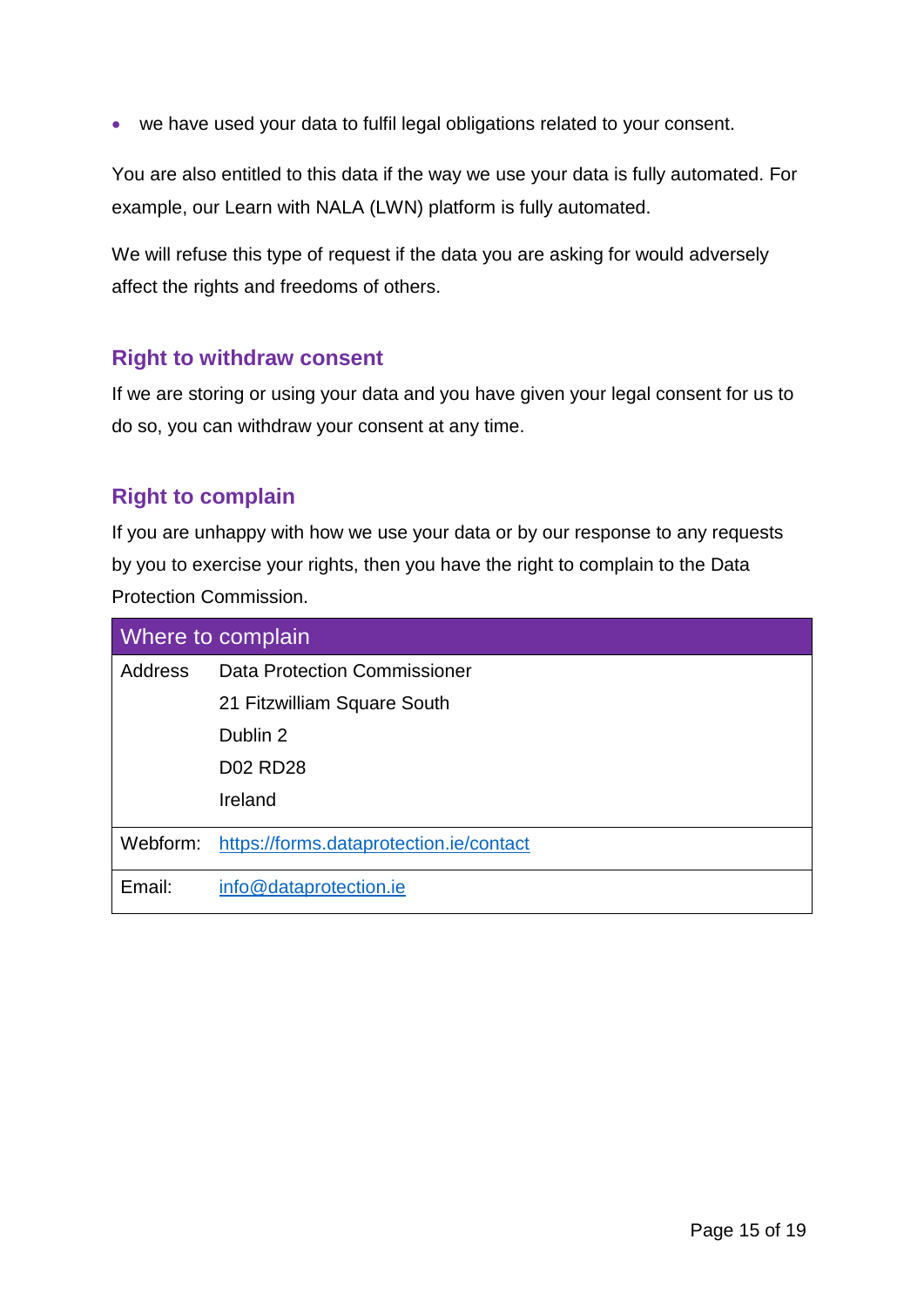we have used your data to fulfil legal obligations related to your consent.

You are also entitled to this data if the way we use your data is fully automated. For example, our Learn with NALA (LWN) platform is fully automated.

We will refuse this type of request if the data you are asking for would adversely affect the rights and freedoms of others.

#### <span id="page-14-0"></span>**Right to withdraw consent**

If we are storing or using your data and you have given your legal consent for us to do so, you can withdraw your consent at any time.

#### <span id="page-14-1"></span>**Right to complain**

If you are unhappy with how we use your data or by our response to any requests by you to exercise your rights, then you have the right to complain to the Data Protection Commission.

| Where to complain |                                         |  |
|-------------------|-----------------------------------------|--|
| Address           | <b>Data Protection Commissioner</b>     |  |
|                   | 21 Fitzwilliam Square South             |  |
|                   | Dublin 2                                |  |
|                   | <b>D02 RD28</b>                         |  |
|                   | Ireland                                 |  |
| Webform:          | https://forms.dataprotection.ie/contact |  |
| Email:            | info@dataprotection.ie                  |  |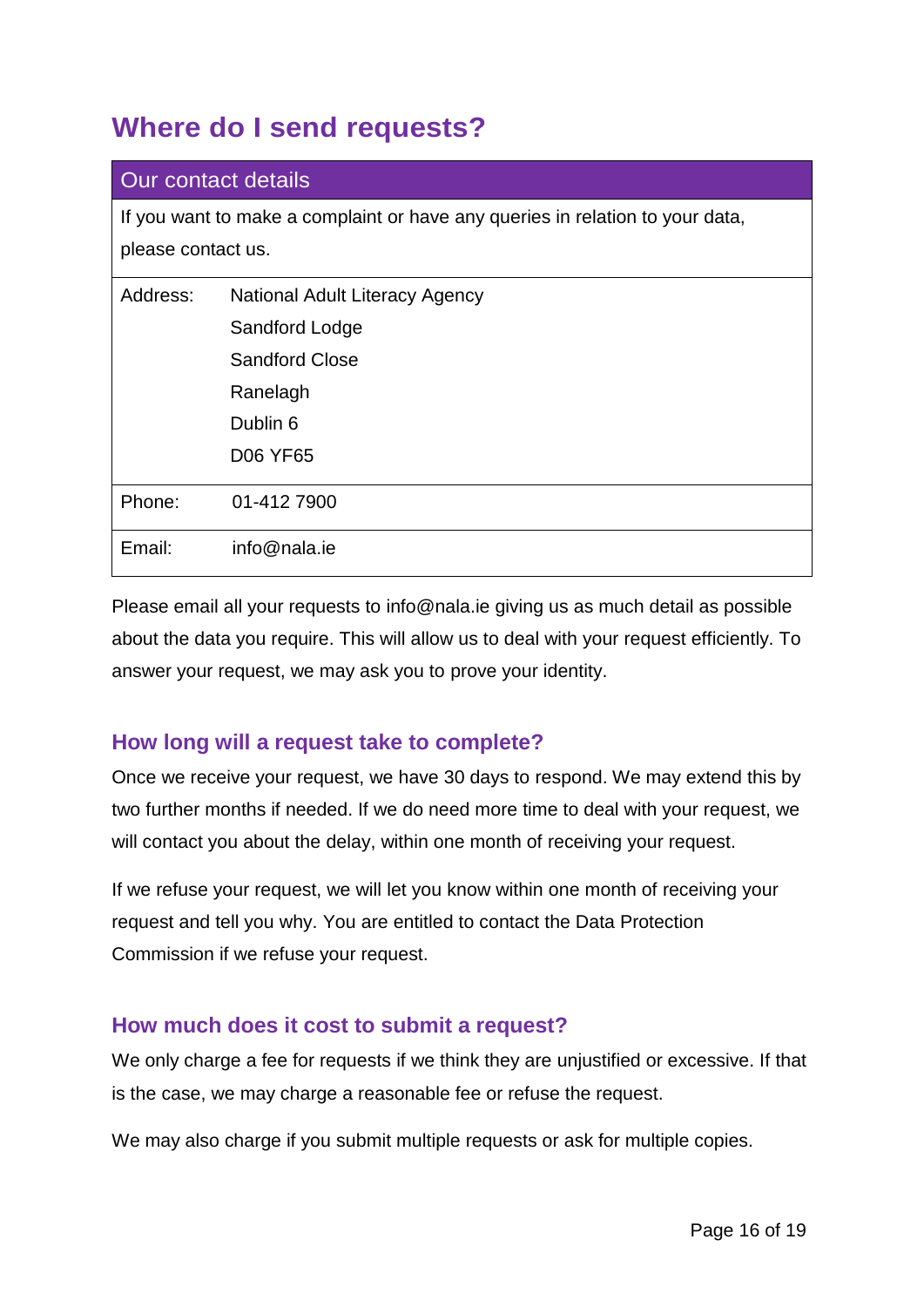# <span id="page-15-0"></span>**Where do I send requests?**

| Our contact details                                                                                 |                                       |  |
|-----------------------------------------------------------------------------------------------------|---------------------------------------|--|
| If you want to make a complaint or have any queries in relation to your data,<br>please contact us. |                                       |  |
| Address:                                                                                            | <b>National Adult Literacy Agency</b> |  |
|                                                                                                     | Sandford Lodge                        |  |
|                                                                                                     | <b>Sandford Close</b>                 |  |
|                                                                                                     | Ranelagh                              |  |
|                                                                                                     | Dublin 6                              |  |
|                                                                                                     | <b>D06 YF65</b>                       |  |
| Phone:                                                                                              | 01-412 7900                           |  |
| Email:                                                                                              | info@nala.ie                          |  |

Please email all your requests to info@nala.ie giving us as much detail as possible about the data you require. This will allow us to deal with your request efficiently. To answer your request, we may ask you to prove your identity.

#### <span id="page-15-1"></span>**How long will a request take to complete?**

Once we receive your request, we have 30 days to respond. We may extend this by two further months if needed. If we do need more time to deal with your request, we will contact you about the delay, within one month of receiving your request.

If we refuse your request, we will let you know within one month of receiving your request and tell you why. You are entitled to contact the Data Protection Commission if we refuse your request.

#### <span id="page-15-2"></span>**How much does it cost to submit a request?**

We only charge a fee for requests if we think they are unjustified or excessive. If that is the case, we may charge a reasonable fee or refuse the request.

We may also charge if you submit multiple requests or ask for multiple copies.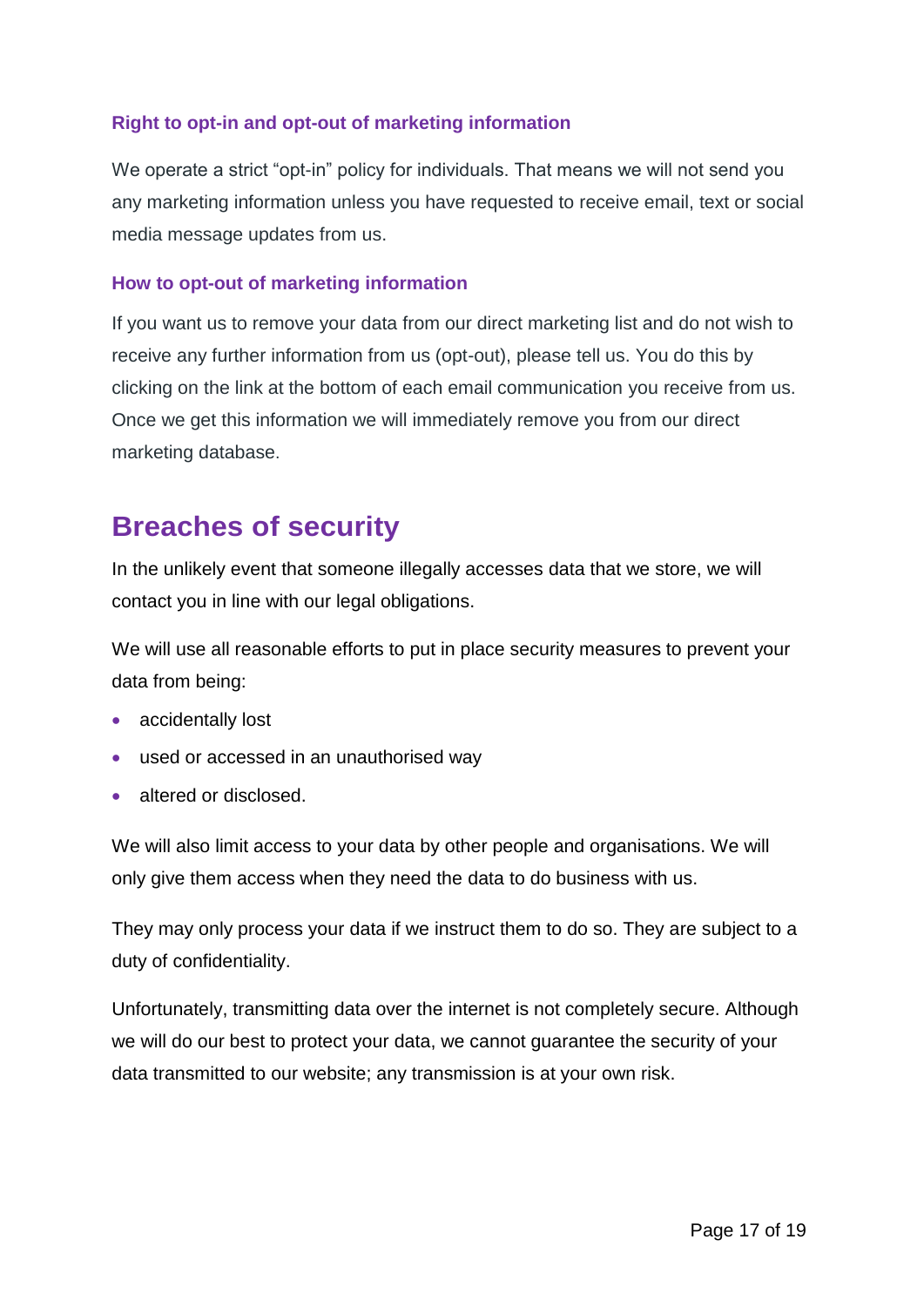#### **Right to opt-in and opt-out of marketing information**

We operate a strict "opt-in" policy for individuals. That means we will not send you any marketing information unless you have requested to receive email, text or social media message updates from us.

#### **How to opt-out of marketing information**

If you want us to remove your data from our direct marketing list and do not wish to receive any further information from us (opt-out), please tell us. You do this by clicking on the link at the bottom of each email communication you receive from us. Once we get this information we will immediately remove you from our direct marketing database.

# <span id="page-16-0"></span>**Breaches of security**

In the unlikely event that someone illegally accesses data that we store, we will contact you in line with our legal obligations.

We will use all reasonable efforts to put in place security measures to prevent your data from being:

- accidentally lost
- used or accessed in an unauthorised way
- altered or disclosed.

We will also limit access to your data by other people and organisations. We will only give them access when they need the data to do business with us.

They may only process your data if we instruct them to do so. They are subject to a duty of confidentiality.

Unfortunately, transmitting data over the internet is not completely secure. Although we will do our best to protect your data, we cannot guarantee the security of your data transmitted to our website; any transmission is at your own risk.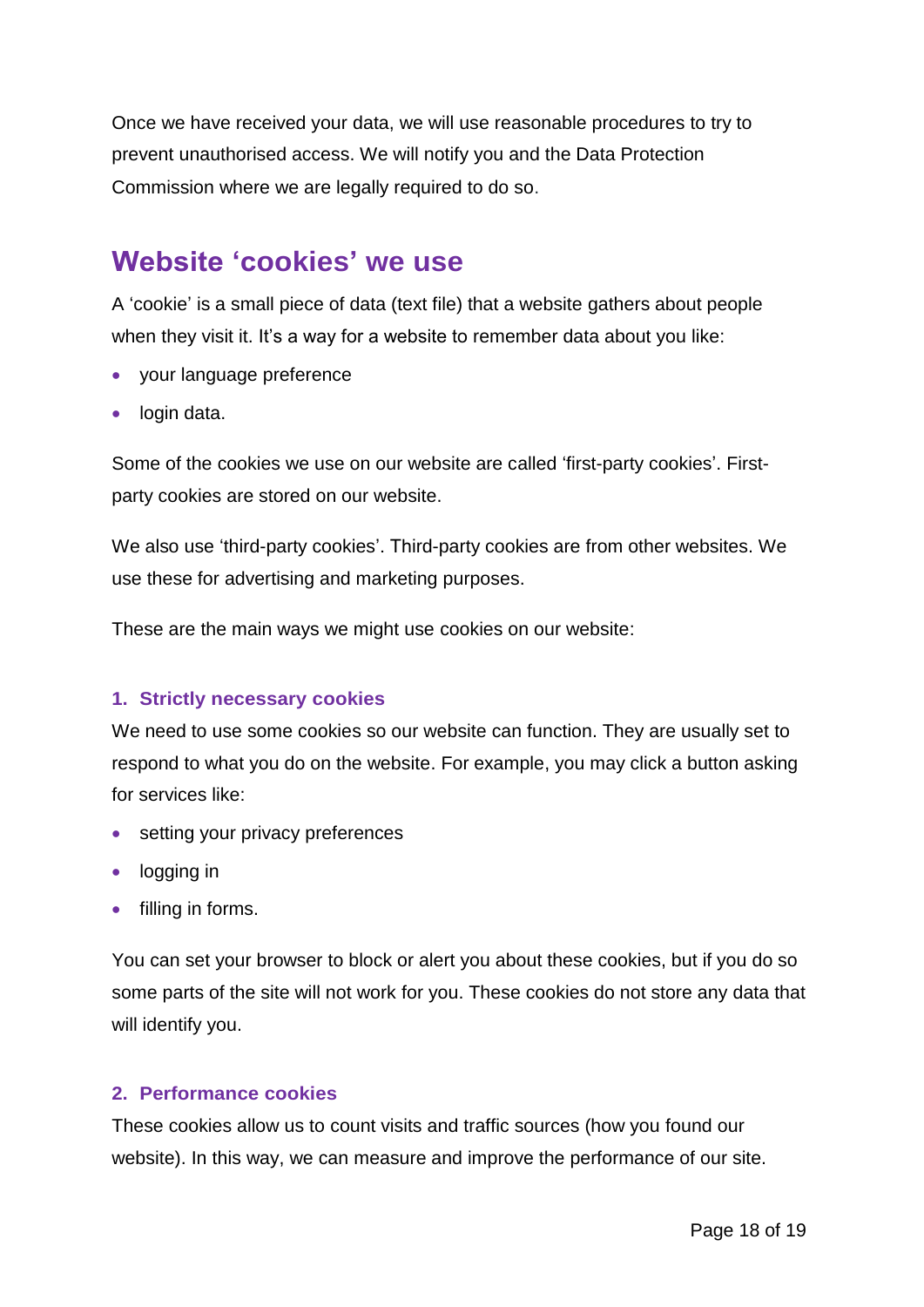Once we have received your data, we will use reasonable procedures to try to prevent unauthorised access. We will notify you and the Data Protection Commission where we are legally required to do so.

### <span id="page-17-0"></span>**Website 'cookies' we use**

A 'cookie' is a small piece of data (text file) that a website gathers about people when they visit it. It's a way for a website to remember data about you like:

- your language preference
- login data.

Some of the cookies we use on our website are called 'first-party cookies'. Firstparty cookies are stored on our website.

We also use 'third-party cookies'. Third-party cookies are from other websites. We use these for advertising and marketing purposes.

These are the main ways we might use cookies on our website:

#### **1. Strictly necessary cookies**

We need to use some cookies so our website can function. They are usually set to respond to what you do on the website. For example, you may click a button asking for services like:

- setting your privacy preferences
- logging in
- $\bullet$  filling in forms.

You can set your browser to block or alert you about these cookies, but if you do so some parts of the site will not work for you. These cookies do not store any data that will identify you.

#### **2. Performance cookies**

These cookies allow us to count visits and traffic sources (how you found our website). In this way, we can measure and improve the performance of our site.